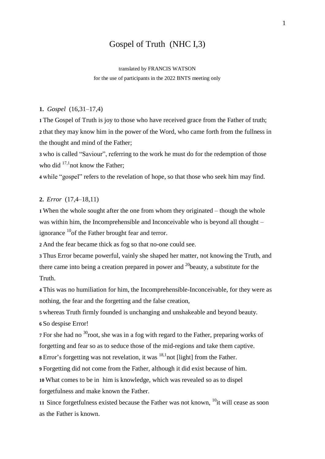# Gospel of Truth (NHC I,3)

translated by FRANCIS WATSON

for the use of participants in the 2022 BNTS meeting only

#### **1.** *Gospel* (16,31–17,4)

**1** The Gospel of Truth is joy to those who have received grace from the Father of truth; **2** that they may know him in the power of the Word, who came forth from the fullness in the thought and mind of the Father;

**3** who is called "Saviour", referring to the work he must do for the redemption of those who did <sup>17,1</sup>not know the Father;

**4** while "gospel" refers to the revelation of hope, so that those who seek him may find.

### **2.** *Error* (17,4–18,11)

**1** When the whole sought after the one from whom they originated – though the whole was within him, the Incomprehensible and Inconceivable who is beyond all thought – ignorance  $^{10}$  of the Father brought fear and terror.

**2** And the fear became thick as fog so that no-one could see.

**3** Thus Error became powerful, vainly she shaped her matter, not knowing the Truth, and there came into being a creation prepared in power and  $^{20}$ beauty, a substitute for the Truth.

**4** This was no humiliation for him, the Incomprehensible-Inconceivable, for they were as nothing, the fear and the forgetting and the false creation,

**5** whereas Truth firmly founded is unchanging and unshakeable and beyond beauty.

**6** So despise Error!

**7** For she had no <sup>30</sup> root, she was in a fog with regard to the Father, preparing works of forgetting and fear so as to seduce those of the mid-regions and take them captive.

**8** Error's forgetting was not revelation, it was <sup>18,1</sup> not [light] from the Father.

**9** Forgetting did not come from the Father, although it did exist because of him.

**10** What comes to be in him is knowledge, which was revealed so as to dispel

forgetfulness and make known the Father.

11 Since forgetfulness existed because the Father was not known, <sup>10</sup>it will cease as soon as the Father is known.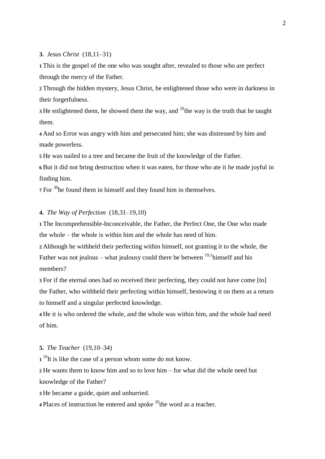**3.** *Jesus Christ* (18,11–31)

**1** This is the gospel of the one who was sought after, revealed to those who are perfect through the mercy of the Father.

**2** Through the hidden mystery, Jesus Christ, he enlightened those who were in darkness in their forgetfulness.

**3** He enlightened them, he showed them the way, and  $^{20}$ the way is the truth that he taught them.

**4** And so Error was angry with him and persecuted him; she was distressed by him and made powerless.

**5** He was nailed to a tree and became the fruit of the knowledge of the Father.

**6** But it did not bring destruction when it was eaten, for those who ate it he made joyful in finding him.

**<sup>7</sup>** For <sup>30</sup>he found them in himself and they found him in themselves.

# **4.** *The Way of Perfection* (18,31–19,10)

**1** The Incomprehensible-Inconceivable, the Father, the Perfect One, the One who made the whole – the whole is within him and the whole has need of him.

**2** Although he withheld their perfecting within himself, not granting it to the whole, the Father was not jealous – what jealousy could there be between  $19,1$ himself and his members?

**3** For if the eternal ones had so received their perfecting, they could not have come [to] the Father, who withheld their perfecting within himself, bestowing it on them as a return to himself and a singular perfected knowledge.

**4** He it is who ordered the whole, and the whole was within him, and the whole had need of him.

#### **5.** *The Teacher* (19,10–34)

1<sup>10</sup>It is like the case of a person whom some do not know.

**2** He wants them to know him and so to love him – for what did the whole need but knowledge of the Father?

**3** He became a guide, quiet and unhurried.

**4** Places of instruction he entered and spoke  $^{20}$ the word as a teacher.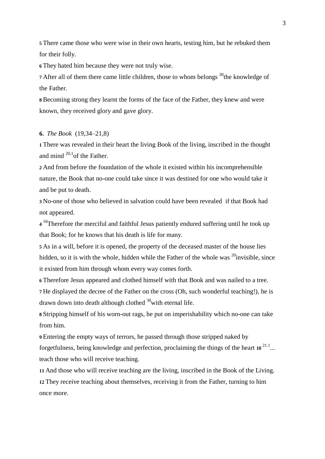**5** There came those who were wise in their own hearts, testing him, but he rebuked them for their folly.

**6** They hated him because they were not truly wise.

**7** After all of them there came little children, those to whom belongs <sup>30</sup>the knowledge of the Father.

**8** Becoming strong they learnt the forms of the face of the Father, they knew and were known, they received glory and gave glory.

#### **6.** *The Book* (19,34–21,8)

**1** There was revealed in their heart the living Book of the living, inscribed in the thought and mind  $^{20,1}$ of the Father.

**2** And from before the foundation of the whole it existed within his incomprehensible nature, the Book that no-one could take since it was destined for one who would take it and be put to death.

**3** No-one of those who believed in salvation could have been revealed if that Book had not appeared.

**4** <sup>10</sup>Therefore the merciful and faithful Jesus patiently endured suffering until he took up that Book; for he knows that his death is life for many.

**5** As in a will, before it is opened, the property of the deceased master of the house lies hidden, so it is with the whole, hidden while the Father of the whole was  $^{20}$ invisible, since it existed from him through whom every way comes forth.

**6** Therefore Jesus appeared and clothed himself with that Book and was nailed to a tree.

**7** He displayed the decree of the Father on the cross (Oh, such wonderful teaching!), he is drawn down into death although clothed  $30$  with eternal life.

**8** Stripping himself of his worn-out rags, he put on imperishability which no-one can take from him.

**9** Entering the empty ways of terrors, he passed through those stripped naked by forgetfulness, being knowledge and perfection, proclaiming the things of the heart **<sup>10</sup>** 21.1 ... teach those who will receive teaching.

**11** And those who will receive teaching are the living, inscribed in the Book of the Living. **12** They receive teaching about themselves, receiving it from the Father, turning to him once more.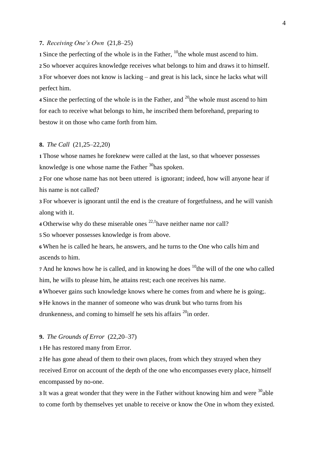**7.** *Receiving One's Own* (21,8–25)

**1** Since the perfecting of the whole is in the Father,  $^{10}$ the whole must ascend to him.

**2** So whoever acquires knowledge receives what belongs to him and draws it to himself. **3** For whoever does not know is lacking – and great is his lack, since he lacks what will perfect him.

**4** Since the perfecting of the whole is in the Father, and <sup>20</sup>the whole must ascend to him for each to receive what belongs to him, he inscribed them beforehand, preparing to bestow it on those who came forth from him.

#### **8.** *The Call* (21,25–22,20)

**1** Those whose names he foreknew were called at the last, so that whoever possesses knowledge is one whose name the Father  $30$ has spoken.

**2** For one whose name has not been uttered is ignorant; indeed, how will anyone hear if his name is not called?

**3** For whoever is ignorant until the end is the creature of forgetfulness, and he will vanish along with it.

**4** Otherwise why do these miserable ones  $^{22,1}$  have neither name nor call?

**5** So whoever possesses knowledge is from above.

**6** When he is called he hears, he answers, and he turns to the One who calls him and ascends to him.

**7** And he knows how he is called, and in knowing he does  $\frac{10}{10}$ the will of the one who called him, he wills to please him, he attains rest; each one receives his name.

**8** Whoever gains such knowledge knows where he comes from and where he is going;.

**9** He knows in the manner of someone who was drunk but who turns from his

drunkenness, and coming to himself he sets his affairs <sup>20</sup>in order.

#### **9.** *The Grounds of Error* (22,20–37)

**1** He has restored many from Error.

**2** He has gone ahead of them to their own places, from which they strayed when they received Error on account of the depth of the one who encompasses every place, himself encompassed by no-one.

**3** It was a great wonder that they were in the Father without knowing him and were <sup>30</sup>able to come forth by themselves yet unable to receive or know the One in whom they existed.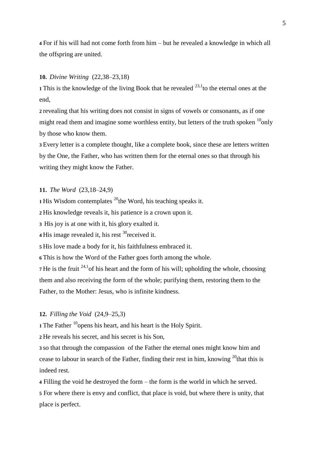**4** For if his will had not come forth from him – but he revealed a knowledge in which all the offspring are united.

#### **10.** *Divine Writing* (22,38–23,18)

**1** This is the knowledge of the living Book that he revealed  $^{23,1}$  to the eternal ones at the end,

**2** revealing that his writing does not consist in signs of vowels or consonants, as if one might read them and imagine some worthless entity, but letters of the truth spoken  $^{10}$ only by those who know them.

**3** Every letter is a complete thought, like a complete book, since these are letters written by the One, the Father, who has written them for the eternal ones so that through his writing they might know the Father.

# **11.** *The Word* (23,18–24,9)

**1** His Wisdom contemplates  $^{20}$ the Word, his teaching speaks it.

**2** His knowledge reveals it, his patience is a crown upon it.

**3** His joy is at one with it, his glory exalted it.

**4** His image revealed it, his rest <sup>30</sup> received it.

**5** His love made a body for it, his faithfulness embraced it.

**6** This is how the Word of the Father goes forth among the whole.

**7** He is the fruit  $24.1$ <sup>d</sup> of his heart and the form of his will; upholding the whole, choosing them and also receiving the form of the whole; purifying them, restoring them to the Father, to the Mother: Jesus, who is infinite kindness.

# **12.** *Filling the Void* (24,9–25,3)

**1** The Father <sup>10</sup> opens his heart, and his heart is the Holy Spirit.

**2** He reveals his secret, and his secret is his Son,

**3** so that through the compassion of the Father the eternal ones might know him and cease to labour in search of the Father, finding their rest in him, knowing  $^{20}$ that this is indeed rest.

**4** Filling the void he destroyed the form – the form is the world in which he served. **5** For where there is envy and conflict, that place is void, but where there is unity, that place is perfect.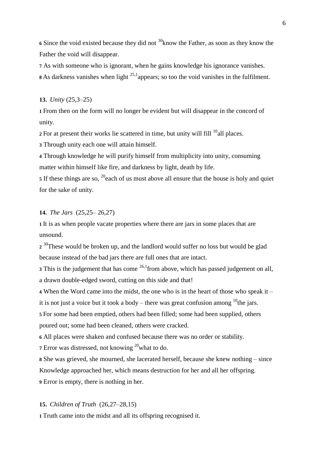**<sup>6</sup>** Since the void existed because they did not <sup>30</sup>know the Father, as soon as they know the Father the void will disappear.

**7** As with someone who is ignorant, when he gains knowledge his ignorance vanishes.

8 As darkness vanishes when light <sup>25,1</sup> appears; so too the void vanishes in the fulfilment.

# **13.** *Unity* (25,3–25)

**1** From then on the form will no longer be evident but will disappear in the concord of unity.

 $2$  For at present their works lie scattered in time, but unity will fill  $10$ <sup>d</sup>all places.

**3** Through unity each one will attain himself.

**4** Through knowledge he will purify himself from multiplicity into unity, consuming matter within himself like fire, and darkness by light, death by life.

5 If these things are so, <sup>20</sup>each of us must above all ensure that the house is holy and quiet for the sake of unity.

#### **14.** *The Jars* (25,25– 26,27)

**1** It is as when people vacate properties where there are jars in some places that are unsound.

2<sup>30</sup>These would be broken up, and the landlord would suffer no loss but would be glad because instead of the bad jars there are full ones that are intact.

**3** This is the judgement that has come <sup>26,1</sup> from above, which has passed judgement on all, a drawn double-edged sword, cutting on this side and that!

**4** When the Word came into the midst, the one who is in the heart of those who speak it – it is not just a voice but it took a body – there was great confusion among  $^{10}$ the jars.

**5** For some had been emptied, others had been filled; some had been supplied, others poured out; some had been cleaned, others were cracked.

**6** All places were shaken and confused because there was no order or stability.

**7** Error was distressed, not knowing <sup>20</sup>what to do.

**8** She was grieved, she mourned, she lacerated herself, because she knew nothing – since Knowledge approached her, which means destruction for her and all her offspring. **9** Error is empty, there is nothing in her.

# **15.** *Children of Truth* (26,27–28,15)

**1** Truth came into the midst and all its offspring recognised it.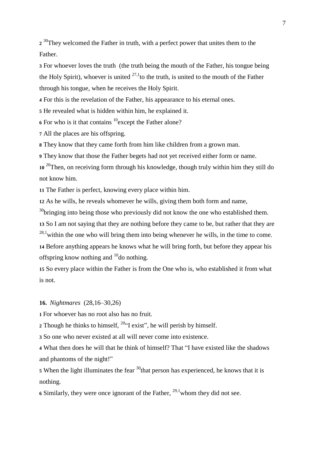2<sup>30</sup>They welcomed the Father in truth, with a perfect power that unites them to the Father.

**3** For whoever loves the truth (the truth being the mouth of the Father, his tongue being the Holy Spirit), whoever is united  $27.1$  to the truth, is united to the mouth of the Father through his tongue, when he receives the Holy Spirit.

**4** For this is the revelation of the Father, his appearance to his eternal ones.

**5** He revealed what is hidden within him, he explained it.

**6** For who is it that contains <sup>10</sup> except the Father alone?

**7** All the places are his offspring.

**8** They know that they came forth from him like children from a grown man.

**9** They know that those the Father begets had not yet received either form or name.

**<sup>10</sup>** <sup>20</sup>Then, on receiving form through his knowledge, though truly within him they still do not know him.

**11** The Father is perfect, knowing every place within him.

**12** As he wills, he reveals whomever he wills, giving them both form and name,

 $30$ bringing into being those who previously did not know the one who established them.

**13** So I am not saying that they are nothing before they came to be, but rather that they are

 $^{28,1}$  within the one who will bring them into being whenever he wills, in the time to come.

**14** Before anything appears he knows what he will bring forth, but before they appear his offspring know nothing and  $^{10}$ do nothing.

**15** So every place within the Father is from the One who is, who established it from what is not.

**16.** *Nightmares* (28,16–30,26)

**1** For whoever has no root also has no fruit.

**2** Though he thinks to himself,  $^{20}$ "I exist", he will perish by himself.

**3** So one who never existed at all will never come into existence.

**4** What then does he will that he think of himself? That "I have existed like the shadows and phantoms of the night!"

 $\overline{5}$  When the light illuminates the fear  $\frac{30}{100}$  that person has experienced, he knows that it is nothing.

**6** Similarly, they were once ignorant of the Father, 29,1whom they did not see.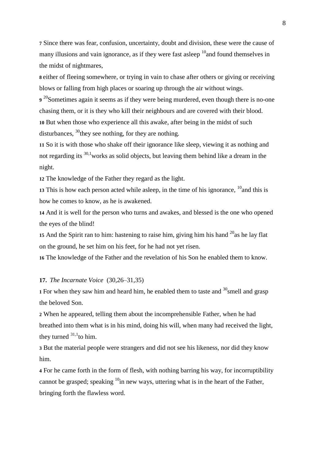**7** Since there was fear, confusion, uncertainty, doubt and division, these were the cause of many illusions and vain ignorance, as if they were fast asleep  $^{10}$  and found themselves in the midst of nightmares,

**8** either of fleeing somewhere, or trying in vain to chase after others or giving or receiving blows or falling from high places or soaring up through the air without wings.

9<sup>20</sup>Sometimes again it seems as if they were being murdered, even though there is no-one chasing them, or it is they who kill their neighbours and are covered with their blood. **10** But when those who experience all this awake, after being in the midst of such disturbances,  $^{30}$ they see nothing, for they are nothing.

**11** So it is with those who shake off their ignorance like sleep, viewing it as nothing and not regarding its  $30,1$  works as solid objects, but leaving them behind like a dream in the night.

**12** The knowledge of the Father they regard as the light.

13 This is how each person acted while asleep, in the time of his ignorance,  $\frac{10}{10}$  and this is how he comes to know, as he is awakened.

**14** And it is well for the person who turns and awakes, and blessed is the one who opened the eyes of the blind!

**15** And the Spirit ran to him: hastening to raise him, giving him his hand  $2<sup>0</sup>$  as he lay flat on the ground, he set him on his feet, for he had not yet risen.

**16** The knowledge of the Father and the revelation of his Son he enabled them to know.

# **17.** *The Incarnate Voice* (30,26–31,35)

**1** For when they saw him and heard him, he enabled them to taste and  $\frac{30}{3}$  smell and grasp the beloved Son.

**2** When he appeared, telling them about the incomprehensible Father, when he had breathed into them what is in his mind, doing his will, when many had received the light, they turned  $31,1$  to him.

**3** But the material people were strangers and did not see his likeness, nor did they know him.

**4** For he came forth in the form of flesh, with nothing barring his way, for incorruptibility cannot be grasped; speaking  $10$ in new ways, uttering what is in the heart of the Father, bringing forth the flawless word.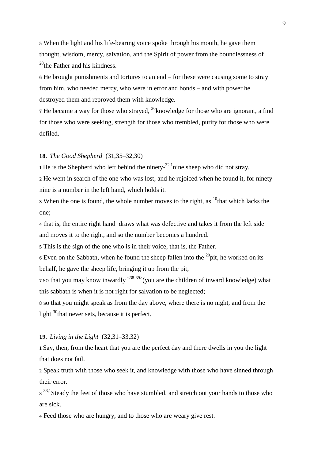**5** When the light and his life-bearing voice spoke through his mouth, he gave them thought, wisdom, mercy, salvation, and the Spirit of power from the boundlessness of  $^{20}$ the Father and his kindness.

**6** He brought punishments and tortures to an end – for these were causing some to stray from him, who needed mercy, who were in error and bonds – and with power he destroyed them and reproved them with knowledge.

**7** He became a way for those who strayed, <sup>30</sup>knowledge for those who are ignorant, a find for those who were seeking, strength for those who trembled, purity for those who were defiled.

#### **18.** *The Good Shepherd* (31,35–32,30)

**1** He is the Shepherd who left behind the ninety- $32,1$  nine sheep who did not stray.

**2** He went in search of the one who was lost, and he rejoiced when he found it, for ninetynine is a number in the left hand, which holds it.

**3** When the one is found, the whole number moves to the right, as <sup>10</sup>that which lacks the one;

**4** that is, the entire right hand draws what was defective and takes it from the left side and moves it to the right, and so the number becomes a hundred.

**5** This is the sign of the one who is in their voice, that is, the Father.

 $6$  Even on the Sabbath, when he found the sheep fallen into the  $20$ <sup>o</sup>pit, he worked on its behalf, he gave the sheep life, bringing it up from the pit,

**7** so that you may know inwardly <sup><38-39></sup>(you are the children of inward knowledge) what this sabbath is when it is not right for salvation to be neglected;

**8** so that you might speak as from the day above, where there is no night, and from the light  $30$ <sup>that never sets, because it is perfect.</sup>

# **19.** *Living in the Light* (32,31–33,32)

**1** Say, then, from the heart that you are the perfect day and there dwells in you the light that does not fail.

**2** Speak truth with those who seek it, and knowledge with those who have sinned through their error.

3<sup>33,1</sup>Steady the feet of those who have stumbled, and stretch out your hands to those who are sick.

**4** Feed those who are hungry, and to those who are weary give rest.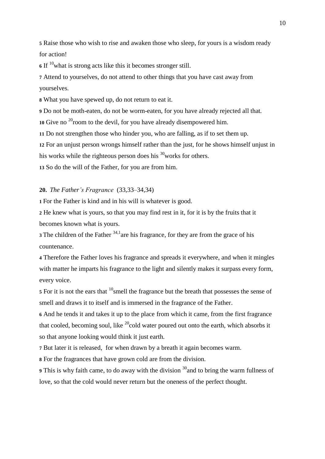**5** Raise those who wish to rise and awaken those who sleep, for yours is a wisdom ready for action!

**<sup>6</sup>** If <sup>10</sup>what is strong acts like this it becomes stronger still.

**7** Attend to yourselves, do not attend to other things that you have cast away from yourselves.

**8** What you have spewed up, do not return to eat it.

**9** Do not be moth-eaten, do not be worm-eaten, for you have already rejected all that.

10 Give no <sup>20</sup> room to the devil, for you have already disempowered him.

**11** Do not strengthen those who hinder you, who are falling, as if to set them up.

**12** For an unjust person wrongs himself rather than the just, for he shows himself unjust in

his works while the righteous person does his  $\frac{30}{30}$  works for others.

**13** So do the will of the Father, for you are from him.

**20.** *The Father's Fragrance* (33,33–34,34)

**1** For the Father is kind and in his will is whatever is good.

**2** He knew what is yours, so that you may find rest in it, for it is by the fruits that it becomes known what is yours.

**3** The children of the Father <sup>34,1</sup> are his fragrance, for they are from the grace of his countenance.

**4** Therefore the Father loves his fragrance and spreads it everywhere, and when it mingles with matter he imparts his fragrance to the light and silently makes it surpass every form, every voice.

**5** For it is not the ears that <sup>10</sup> smell the fragrance but the breath that possesses the sense of smell and draws it to itself and is immersed in the fragrance of the Father.

**6** And he tends it and takes it up to the place from which it came, from the first fragrance that cooled, becoming soul, like  $^{20}$ cold water poured out onto the earth, which absorbs it so that anyone looking would think it just earth.

**7** But later it is released, for when drawn by a breath it again becomes warm.

**8** For the fragrances that have grown cold are from the division.

**9** This is why faith came, to do away with the division <sup>30</sup> and to bring the warm fullness of love, so that the cold would never return but the oneness of the perfect thought.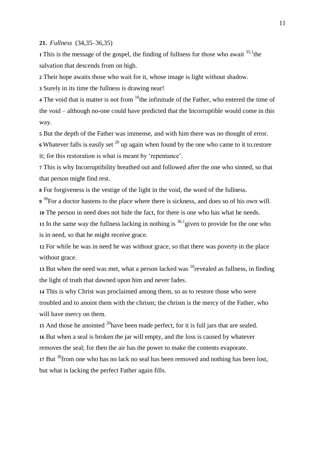#### **21.** *Fullness* (34,35–36,35)

**1** This is the message of the gospel, the finding of fullness for those who await  $35,1$ <sup>the</sup> salvation that descends from on high.

**2** Their hope awaits those who wait for it, whose image is light without shadow.

**3** Surely in its time the fullness is drawing near!

**4** The void that is matter is not from <sup>10</sup> the infinitude of the Father, who entered the time of the void – although no-one could have predicted that the Incorruptible would come in this way.

**5** But the depth of the Father was immense, and with him there was no thought of error.

**6** Whatever falls is easily set  $20$  up again when found by the one who came to it to.restore it; for this restoration is what is meant by 'repentance'.

**7** This is why Incorruptibility breathed out and followed after the one who sinned, so that that person might find rest.

**8** For forgiveness is the vestige of the light in the void, the word of the fullness.

9<sup>30</sup>For a doctor hastens to the place where there is sickness, and does so of his own will. **10** The person in need does not hide the fact, for there is one who has what he needs.

**11** In the same way the fullness lacking in nothing is  $36,1$  given to provide for the one who is in need, so that he might receive grace.

**12** For while he was in need he was without grace, so that there was poverty in the place without grace.

13 But when the need was met, what a person lacked was  $^{10}$ revealed as fullness, in finding the light of truth that dawned upon him and never fades.

**14** This is why Christ was proclaimed among them, so as to restore those who were troubled and to anoint them with the chrism; the chrism is the mercy of the Father, who will have mercy on them.

15 And those he anointed  $20$  have been made perfect, for it is full jars that are sealed. **16** But when a seal is broken the jar will empty, and the loss is caused by whatever removes the seal; for then the air has the power to make the contents evaporate. 17 But <sup>30</sup> from one who has no lack no seal has been removed and nothing has been lost, but what is lacking the perfect Father again fills.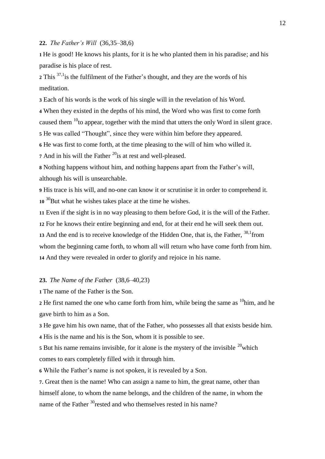#### **22.** *The Father's Will* (36,35–38,6)

**1** He is good! He knows his plants, for it is he who planted them in his paradise; and his paradise is his place of rest.

2 This <sup>37,1</sup> is the fulfilment of the Father's thought, and they are the words of his meditation.

**3** Each of his words is the work of his single will in the revelation of his Word.

**4** When they existed in the depths of his mind, the Word who was first to come forth

caused them  $10$  to appear, together with the mind that utters the only Word in silent grace.

**5** He was called "Thought", since they were within him before they appeared.

**6** He was first to come forth, at the time pleasing to the will of him who willed it.

7 And in his will the Father<sup>20</sup> is at rest and well-pleased.

**8** Nothing happens without him, and nothing happens apart from the Father's will, although his will is unsearchable.

**9** His trace is his will, and no-one can know it or scrutinise it in order to comprehend it. **<sup>10</sup>** <sup>30</sup>But what he wishes takes place at the time he wishes.

**11** Even if the sight is in no way pleasing to them before God, it is the will of the Father.

**12** For he knows their entire beginning and end, for at their end he will seek them out.

13 And the end is to receive knowledge of the Hidden One, that is, the Father, <sup>38,1</sup>from whom the beginning came forth, to whom all will return who have come forth from him. **14** And they were revealed in order to glorify and rejoice in his name.

#### **23.** *The Name of the Father* (38,6–40,23)

**1** The name of the Father is the Son.

2 He first named the one who came forth from him, while being the same as <sup>10</sup>him, and he gave birth to him as a Son.

**3** He gave him his own name, that of the Father, who possesses all that exists beside him.

**4** His is the name and his is the Son, whom it is possible to see.

**5** But his name remains invisible, for it alone is the mystery of the invisible  $20$  which comes to ears completely filled with it through him.

**6** While the Father's name is not spoken, it is revealed by a Son.

**7**. Great then is the name! Who can assign a name to him, the great name, other than himself alone, to whom the name belongs, and the children of the name, in whom the name of the Father <sup>30</sup>rested and who themselves rested in his name?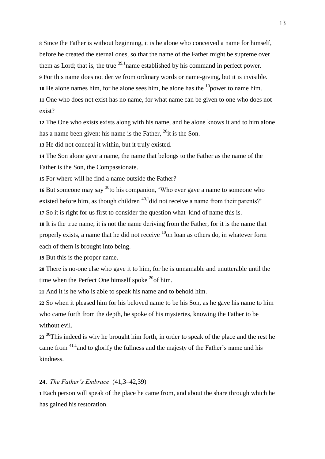**8** Since the Father is without beginning, it is he alone who conceived a name for himself, before he created the eternal ones, so that the name of the Father might be supreme over them as Lord; that is, the true  $39,1$  name established by his command in perfect power. **9** For this name does not derive from ordinary words or name-giving, but it is invisible. 10 He alone names him, for he alone sees him, he alone has the  $\frac{10}{2}$ power to name him. **11** One who does not exist has no name, for what name can be given to one who does not exist?

**12** The One who exists exists along with his name, and he alone knows it and to him alone has a name been given: his name is the Father,  $^{20}$ it is the Son.

**13** He did not conceal it within, but it truly existed.

**14** The Son alone gave a name, the name that belongs to the Father as the name of the Father is the Son, the Compassionate.

**15** For where will he find a name outside the Father?

16 But someone may say <sup>30</sup> to his companion, 'Who ever gave a name to someone who existed before him, as though children  $40,1$  did not receive a name from their parents?' **17** So it is right for us first to consider the question what kind of name this is.

**18** It is the true name, it is not the name deriving from the Father, for it is the name that properly exists, a name that he did not receive  $10$  loan as others do, in whatever form each of them is brought into being.

**19** But this is the proper name.

**20** There is no-one else who gave it to him, for he is unnamable and unutterable until the time when the Perfect One himself spoke  $^{20}$ of him.

**21** And it is he who is able to speak his name and to behold him.

**22** So when it pleased him for his beloved name to be his Son, as he gave his name to him who came forth from the depth, he spoke of his mysteries, knowing the Father to be without evil.

**<sup>23</sup>** <sup>30</sup> This indeed is why he brought him forth, in order to speak of the place and the rest he came from 41,1and to glorify the fullness and the majesty of the Father's name and his kindness.

## **24.** *The Father's Embrace* (41,3–42,39)

**1** Each person will speak of the place he came from, and about the share through which he has gained his restoration.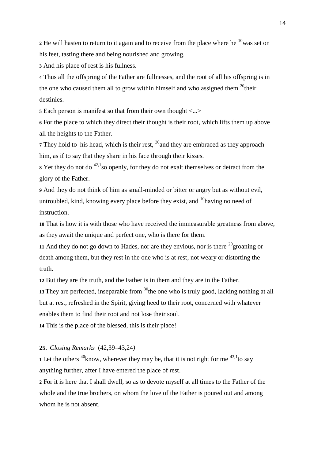**2** He will hasten to return to it again and to receive from the place where he  $10$  was set on his feet, tasting there and being nourished and growing.

**3** And his place of rest is his fullness.

**4** Thus all the offspring of the Father are fullnesses, and the root of all his offspring is in the one who caused them all to grow within himself and who assigned them  $^{20}$ their destinies.

**5** Each person is manifest so that from their own thought <...>

**6** For the place to which they direct their thought is their root, which lifts them up above all the heights to the Father.

**7** They hold to his head, which is their rest, <sup>30</sup> and they are embraced as they approach him, as if to say that they share in his face through their kisses.

**<sup>8</sup>** Yet they do not do 42,1so openly, for they do not exalt themselves or detract from the glory of the Father.

**9** And they do not think of him as small-minded or bitter or angry but as without evil, untroubled, kind, knowing every place before they exist, and  $^{10}$ having no need of instruction.

**10** That is how it is with those who have received the immeasurable greatness from above, as they await the unique and perfect one, who is there for them.

**11** And they do not go down to Hades, nor are they envious, nor is there  $^{20}$  groaning or death among them, but they rest in the one who is at rest, not weary or distorting the truth.

**12** But they are the truth, and the Father is in them and they are in the Father.

13 They are perfected, inseparable from <sup>30</sup>the one who is truly good, lacking nothing at all but at rest, refreshed in the Spirit, giving heed to their root, concerned with whatever enables them to find their root and not lose their soul.

**14** This is the place of the blessed, this is their place!

#### **25.** *Closing Remarks* (42,39–43,24*)*

**1** Let the others <sup>40</sup>know, wherever they may be, that it is not right for me  $43,1$ to say anything further, after I have entered the place of rest.

**2** For it is here that I shall dwell, so as to devote myself at all times to the Father of the whole and the true brothers, on whom the love of the Father is poured out and among whom he is not absent.